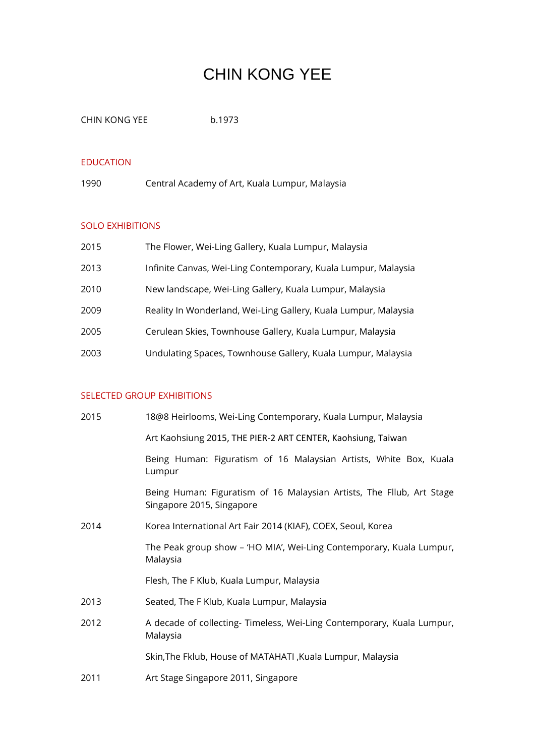# CHIN KONG YEE

CHIN KONG YEE b.1973

#### EDUCATION

1990 Central Academy of Art, Kuala Lumpur, Malaysia

## SOLO EXHIBITIONS

| 2015 | The Flower, Wei-Ling Gallery, Kuala Lumpur, Malaysia            |
|------|-----------------------------------------------------------------|
| 2013 | Infinite Canvas, Wei-Ling Contemporary, Kuala Lumpur, Malaysia  |
| 2010 | New landscape, Wei-Ling Gallery, Kuala Lumpur, Malaysia         |
| 2009 | Reality In Wonderland, Wei-Ling Gallery, Kuala Lumpur, Malaysia |
| 2005 | Cerulean Skies, Townhouse Gallery, Kuala Lumpur, Malaysia       |
| 2003 | Undulating Spaces, Townhouse Gallery, Kuala Lumpur, Malaysia    |

# SELECTED GROUP EXHIBITIONS

| 2015 | 18@8 Heirlooms, Wei-Ling Contemporary, Kuala Lumpur, Malaysia                                      |
|------|----------------------------------------------------------------------------------------------------|
|      | Art Kaohsiung 2015, THE PIER-2 ART CENTER, Kaohsiung, Taiwan                                       |
|      | Being Human: Figuratism of 16 Malaysian Artists, White Box, Kuala<br>Lumpur                        |
|      | Being Human: Figuratism of 16 Malaysian Artists, The Fllub, Art Stage<br>Singapore 2015, Singapore |
| 2014 | Korea International Art Fair 2014 (KIAF), COEX, Seoul, Korea                                       |
|      | The Peak group show - 'HO MIA', Wei-Ling Contemporary, Kuala Lumpur,<br>Malaysia                   |
|      | Flesh, The F Klub, Kuala Lumpur, Malaysia                                                          |
| 2013 | Seated, The F Klub, Kuala Lumpur, Malaysia                                                         |
| 2012 | A decade of collecting-Timeless, Wei-Ling Contemporary, Kuala Lumpur,<br>Malaysia                  |
|      | Skin, The Fklub, House of MATAHATI, Kuala Lumpur, Malaysia                                         |
| 2011 | Art Stage Singapore 2011, Singapore                                                                |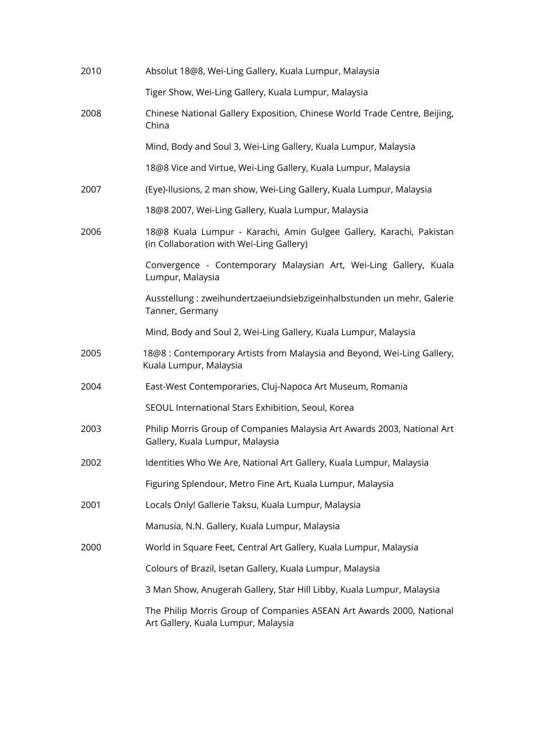| 2010 | Absolut 18@8, Wei-Ling Gallery, Kuala Lumpur, Malaysia                                                          |
|------|-----------------------------------------------------------------------------------------------------------------|
|      | Tiger Show, Wei-Ling Gallery, Kuala Lumpur, Malaysia                                                            |
| 2008 | Chinese National Gallery Exposition, Chinese World Trade Centre, Beijing,<br>China                              |
|      | Mind, Body and Soul 3, Wei-Ling Gallery, Kuala Lumpur, Malaysia                                                 |
|      | 18@8 Vice and Virtue, Wei-Ling Gallery, Kuala Lumpur, Malaysia                                                  |
| 2007 | (Eye)-Ilusions, 2 man show, Wei-Ling Gallery, Kuala Lumpur, Malaysia                                            |
|      | 18@8 2007, Wei-Ling Gallery, Kuala Lumpur, Malaysia                                                             |
| 2006 | 18@8 Kuala Lumpur - Karachi, Amin Gulgee Gallery, Karachi, Pakistan<br>(in Collaboration with Wei-Ling Gallery) |
|      | Convergence - Contemporary Malaysian Art, Wei-Ling Gallery, Kuala<br>Lumpur, Malaysia                           |
|      | Ausstellung : zweihundertzaeiundsiebzigeinhalbstunden un mehr, Galerie<br>Tanner, Germany                       |
|      | Mind, Body and Soul 2, Wei-Ling Gallery, Kuala Lumpur, Malaysia                                                 |
| 2005 | 18@8 : Contemporary Artists from Malaysia and Beyond, Wei-Ling Gallery,<br>Kuala Lumpur, Malaysia               |
| 2004 | East-West Contemporaries, Cluj-Napoca Art Museum, Romania                                                       |
|      | SEOUL International Stars Exhibition, Seoul, Korea                                                              |
| 2003 | Philip Morris Group of Companies Malaysia Art Awards 2003, National Art<br>Gallery, Kuala Lumpur, Malaysia      |
| 2002 | Identities Who We Are, National Art Gallery, Kuala Lumpur, Malaysia                                             |
|      | Figuring Splendour, Metro Fine Art, Kuala Lumpur, Malaysia                                                      |
| 2001 | Locals Only! Gallerie Taksu, Kuala Lumpur, Malaysia                                                             |
|      | Manusia, N.N. Gallery, Kuala Lumpur, Malaysia                                                                   |
| 2000 | World in Square Feet, Central Art Gallery, Kuala Lumpur, Malaysia                                               |
|      | Colours of Brazil, Isetan Gallery, Kuala Lumpur, Malaysia                                                       |
|      | 3 Man Show, Anugerah Gallery, Star Hill Libby, Kuala Lumpur, Malaysia                                           |
|      | The Philip Morris Group of Companies ASEAN Art Awards 2000, National<br>Art Gallery, Kuala Lumpur, Malaysia     |